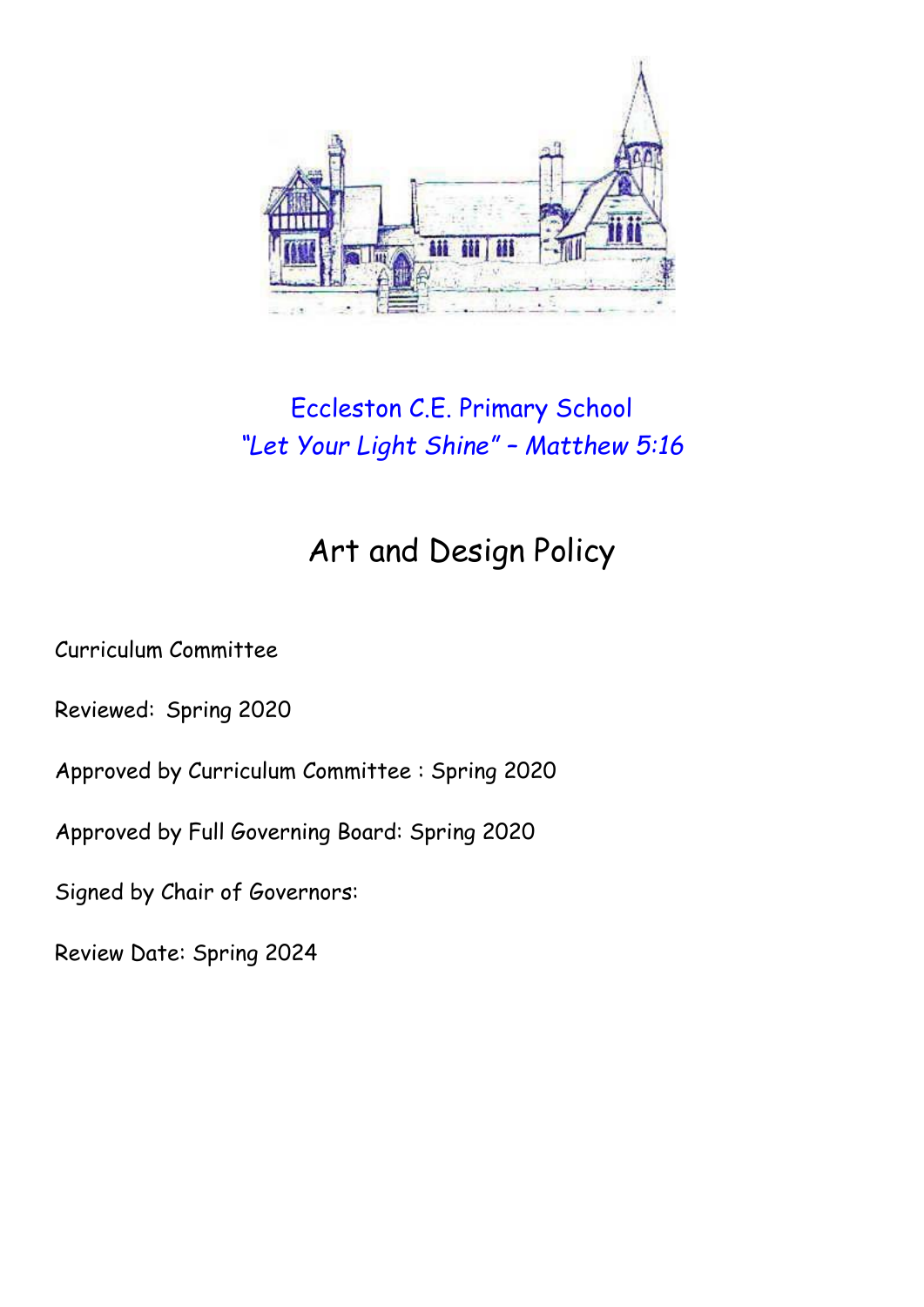

# Eccleston C.E. Primary School *"Let Your Light Shine" – Matthew 5:16*

# Art and Design Policy

Curriculum Committee

Reviewed: Spring 2020

Approved by Curriculum Committee : Spring 2020

Approved by Full Governing Board: Spring 2020

Signed by Chair of Governors:

Review Date: Spring 2024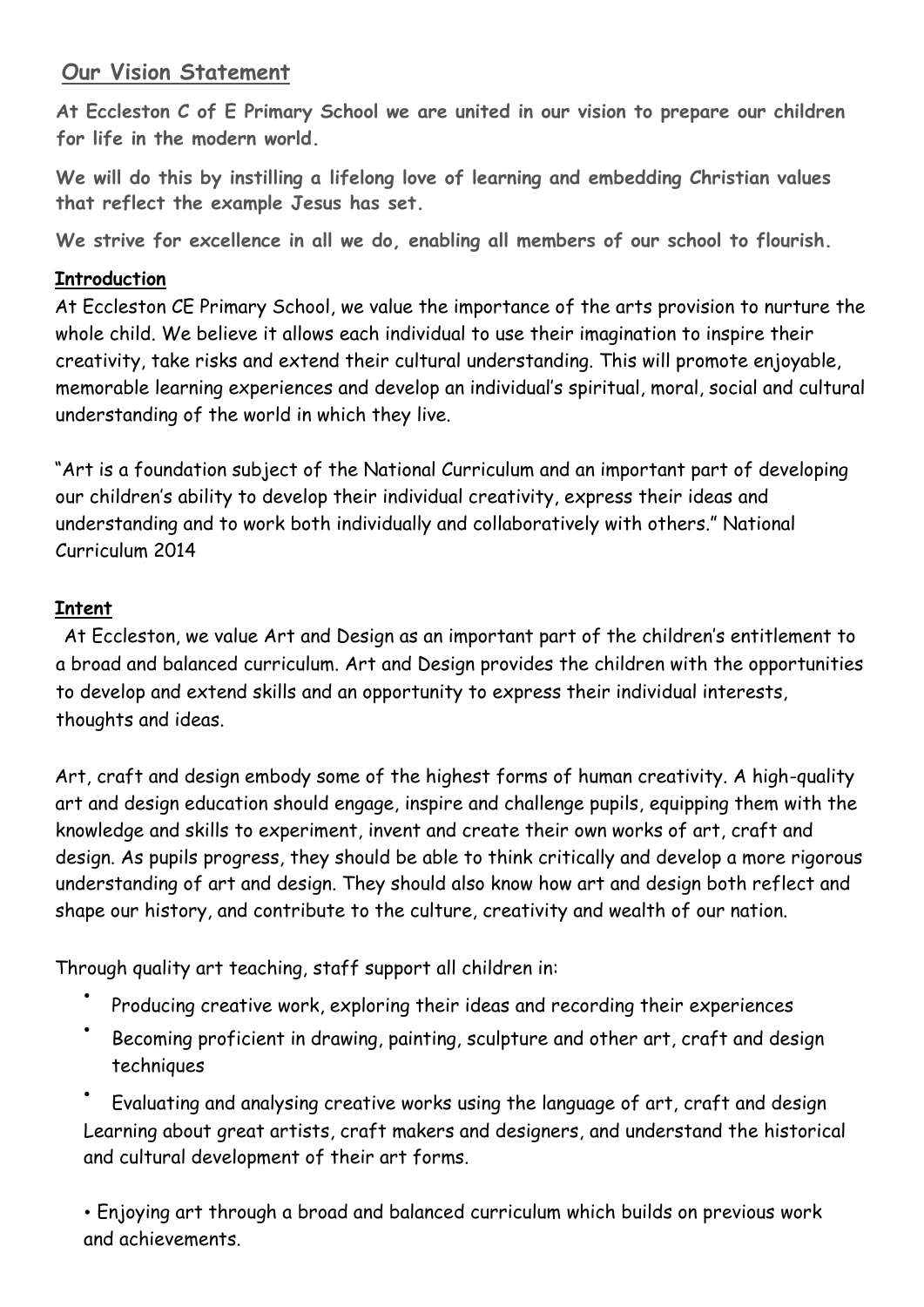# **Our Vision Statement**

**At Eccleston C of E Primary School we are united in our vision to prepare our children for life in the modern world.**

**We will do this by instilling a lifelong love of learning and embedding Christian values that reflect the example Jesus has set.**

**We strive for excellence in all we do, enabling all members of our school to flourish.**

### **Introduction**

At Eccleston CE Primary School, we value the importance of the arts provision to nurture the whole child. We believe it allows each individual to use their imagination to inspire their creativity, take risks and extend their cultural understanding. This will promote enjoyable, memorable learning experiences and develop an individual's spiritual, moral, social and cultural understanding of the world in which they live.

"Art is a foundation subject of the National Curriculum and an important part of developing our children's ability to develop their individual creativity, express their ideas and understanding and to work both individually and collaboratively with others." National Curriculum 2014

# **Intent**

At Eccleston, we value Art and Design as an important part of the children's entitlement to a broad and balanced curriculum. Art and Design provides the children with the opportunities to develop and extend skills and an opportunity to express their individual interests, thoughts and ideas.

Art, craft and design embody some of the highest forms of human creativity. A high-quality art and design education should engage, inspire and challenge pupils, equipping them with the knowledge and skills to experiment, invent and create their own works of art, craft and design. As pupils progress, they should be able to think critically and develop a more rigorous understanding of art and design. They should also know how art and design both reflect and shape our history, and contribute to the culture, creativity and wealth of our nation.

Through quality art teaching, staff support all children in:

- Producing creative work, exploring their ideas and recording their experiences
- Becoming proficient in drawing, painting, sculpture and other art, craft and design techniques

• Evaluating and analysing creative works using the language of art, craft and design Learning about great artists, craft makers and designers, and understand the historical and cultural development of their art forms.

• Enjoying art through a broad and balanced curriculum which builds on previous work and achievements.